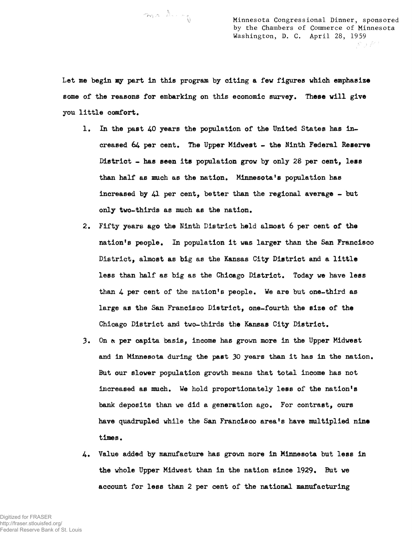ma dung

Minnesota Congressional Dinner, sponsored by the Chambers of Commerce of Minnesota Washington, D. C. April 28, 1959 JS J P 1

Let me begin my part in this program by citing a few figures which emphasize some of the reasons for embarking on this economic survey. These will give you little comfort.

- 1. In the past 40 years the population of the United States has increased 64 per cent. The Upper Midwest - the Ninth Federal Reserve District - has seen its population grow by only 28 per cent, less than half as much as the nation, Minnesota's population has increased by  $41$  per cent, better than the regional average - but only two-thirds as much as the nation,
- 2. Fifty years ago the Ninth District held almost 6 per cent of the nation's people. In population it was larger than the San Francisco District, almost as big as the Kansas City District and a little less than half as big as the Chicago District, Today we have less than 4 per cent of the nation's people. We are but one-third as large as the San Francisco District, one-fourth the size of the Chicago District and two-thirds the Kansas City District,
- 3. On & per capita basis, income has grown more in the Upper Midwest and in Minnesota during the past 30 years than it has in the nation. But our slower population growth means that total income has not increased as much. We hold proportionately less of the nation's bank deposits than we did a generation ago. For contrast, ours have quadrupled while the San Francisco area's have multiplied nine times.
- 4. Value added by manufacture has grown more in Minnesota but less in the whole Upper Midwest than in the nation since 1929. But we account for less than 2 per cent of the national manufacturing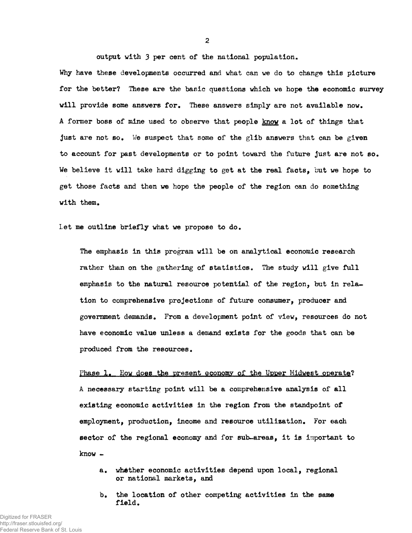output with 3 per cent of the national population.

Why have these developments occurred and what can we do to change this picture for the better? These are the basic questions which we hope the economic survey will provide some answers for. These answers simply are not available now. A former boss of mine used to observe that people know a lot of things that just are not so. We suspect that some of the glib answers that can be given to account for past developments or to point toward the future Just are not so. We believe it will take hard digging to get at the real facts, but we hope to get those facts and then we hope the people of the region can do something with them.

let me outline briefly what we propose to do.

The emphasis in this program will be on analytical economic research rather than on the gathering of statistics. The study will give full emphasis to the natural resource potential of the region, but in relation to comprehensive projections of future consumer, producer and government demands. From a development point of view, resources do not have economic value unless a demand exists for the goods that can be produced from the resources.

Phase 1. How does the present economy of the Upper Midwest operate? A necessary starting point will be a comprehensive analysis of all existing economic activities in the region from the standpoint of employment, production, income and resource utilization. For each sector of the regional economy and for sub-areas, it is important to know ~

- a. whether economic activities depend upon local, regional or national markets, and
- b. the location of other competing activities in the same field.

2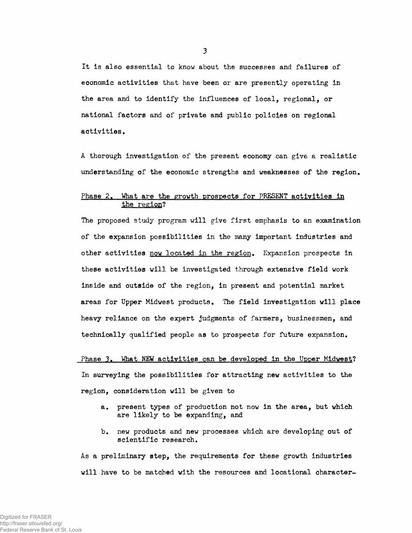It Is also essential to know about the successes and failures of economic activities that have been or are presently operating in the area and to identify the influences of local, regional, or national factors and of private and public policies on regional activities.

A thorough investigation of the present economy can give a realistic understanding of the economic strengths and weaknesses of the region.

## Phase 2. What are the growth prospects for PRESENT activities in the region?

The proposed study program will give first emphasis to an examination of the expansion possibilities in the many important industries and other activities now located in the region. Expansion prospects in these activities will be investigated through extensive field work inside and outside of the region, in present and potential market areas for Upper Midwest products. The field investigation will place heavy reliance on the expert judgments of farmers, businessmen, and technically qualified people as to prospects for future expansion.

Phase 3. What NEW activities can be developed in the Upper Midwest? In surveying the possibilities for attracting new activities to the region, consideration will be given to

- a. present types of production not now in the area, but which are likely to be expanding, and
- b. new products and new processes which are developing out of scientific research.

As a preliminary step, the requirements for these growth industries will have to be matched with the resources and locational character-

3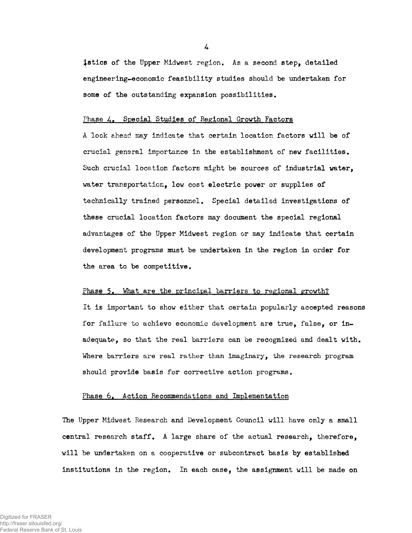istics of the Upper Midwest region. As a second step, detailed engineering-economic feasibility studies should be undertaken for some of the outstanding expansion possibilities.

## Phase *A.* Special Studies of Regional Growth Factors

A look ahead may indicate that certain location factors will be of crucial gensral importance in the establishment of new facilities. Such crucial location factors might be sources of industrial water, water transportation, low cost electric power or supplies of technically trained personnel. Special detailed investigations of these crucial location factors may document the special regional advantages of the Upper Midwest region or may indicate that certain development programs must be undertaken in the region in order for the area to be competitive.

## Phase 5. What are the principal barriers to regional growth?

It is important to show either that certain popularly accepted reasons for failure to achieve economic development are true, false, or inadequate, so that the real barriers can be recognized and dealt with. Where barriers are real rather than imaginary, the research program should provide basis for corrective action programs.

## Phase 6. Action Recommendations and Implementation

The Upper Midwest Research and Development Council will have only a small central research staff. A large share of the actual research, therefore, will be undertaken on a cooperative or subcontract basis by established institutions in the region. In each case, the assignment will be made on